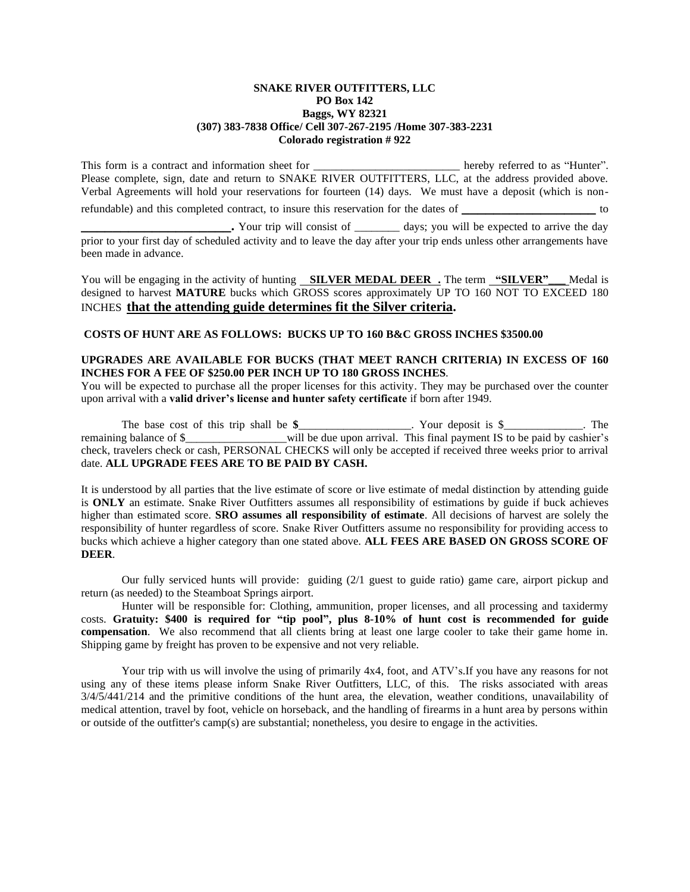## **SNAKE RIVER OUTFITTERS, LLC PO Box 142 Baggs, WY 82321 (307) 383-7838 Office/ Cell 307-267-2195 /Home 307-383-2231 Colorado registration # 922**

This form is a contract and information sheet for \_\_\_\_\_\_\_\_\_\_\_\_\_\_\_\_\_\_\_\_\_\_\_\_\_\_\_\_\_\_ hereby referred to as "Hunter". Please complete, sign, date and return to SNAKE RIVER OUTFITTERS, LLC, at the address provided above. Verbal Agreements will hold your reservations for fourteen (14) days. We must have a deposit (which is nonrefundable) and this completed contract, to insure this reservation for the dates of

**\_\_\_\_\_\_\_.** Your trip will consist of \_\_\_\_\_\_\_\_\_\_ days; you will be expected to arrive the day prior to your first day of scheduled activity and to leave the day after your trip ends unless other arrangements have been made in advance.

You will be engaging in the activity of hunting **SILVER MEDAL DEER.** The term **"SILVER"** Medal is designed to harvest **MATURE** bucks which GROSS scores approximately UP TO 160 NOT TO EXCEED 180 INCHES **that the attending guide determines fit the Silver criteria.**

## **COSTS OF HUNT ARE AS FOLLOWS: BUCKS UP TO 160 B&C GROSS INCHES \$3500.00**

## **UPGRADES ARE AVAILABLE FOR BUCKS (THAT MEET RANCH CRITERIA) IN EXCESS OF 160 INCHES FOR A FEE OF \$250.00 PER INCH UP TO 180 GROSS INCHES**.

You will be expected to purchase all the proper licenses for this activity. They may be purchased over the counter upon arrival with a **valid driver's license and hunter safety certificate** if born after 1949.

The base cost of this trip shall be **\$**\_\_\_\_\_\_\_\_\_\_\_\_\_\_\_\_\_\_\_\_. Your deposit is \$\_\_\_\_\_\_\_\_\_\_\_\_\_\_. The remaining balance of \$\_\_\_\_\_\_\_\_\_\_\_\_\_\_\_\_will be due upon arrival. This final payment IS to be paid by cashier's check, travelers check or cash, PERSONAL CHECKS will only be accepted if received three weeks prior to arrival date. **ALL UPGRADE FEES ARE TO BE PAID BY CASH.**

It is understood by all parties that the live estimate of score or live estimate of medal distinction by attending guide is **ONLY** an estimate. Snake River Outfitters assumes all responsibility of estimations by guide if buck achieves higher than estimated score. **SRO assumes all responsibility of estimate**. All decisions of harvest are solely the responsibility of hunter regardless of score. Snake River Outfitters assume no responsibility for providing access to bucks which achieve a higher category than one stated above. **ALL FEES ARE BASED ON GROSS SCORE OF DEER**.

Our fully serviced hunts will provide: guiding (2/1 guest to guide ratio) game care, airport pickup and return (as needed) to the Steamboat Springs airport.

Hunter will be responsible for: Clothing, ammunition, proper licenses, and all processing and taxidermy costs. **Gratuity: \$400 is required for "tip pool", plus 8-10% of hunt cost is recommended for guide compensation**. We also recommend that all clients bring at least one large cooler to take their game home in. Shipping game by freight has proven to be expensive and not very reliable.

Your trip with us will involve the using of primarily 4x4, foot, and ATV's. If you have any reasons for not using any of these items please inform Snake River Outfitters, LLC, of this. The risks associated with areas 3/4/5/441/214 and the primitive conditions of the hunt area, the elevation, weather conditions, unavailability of medical attention, travel by foot, vehicle on horseback, and the handling of firearms in a hunt area by persons within or outside of the outfitter's camp(s) are substantial; nonetheless, you desire to engage in the activities.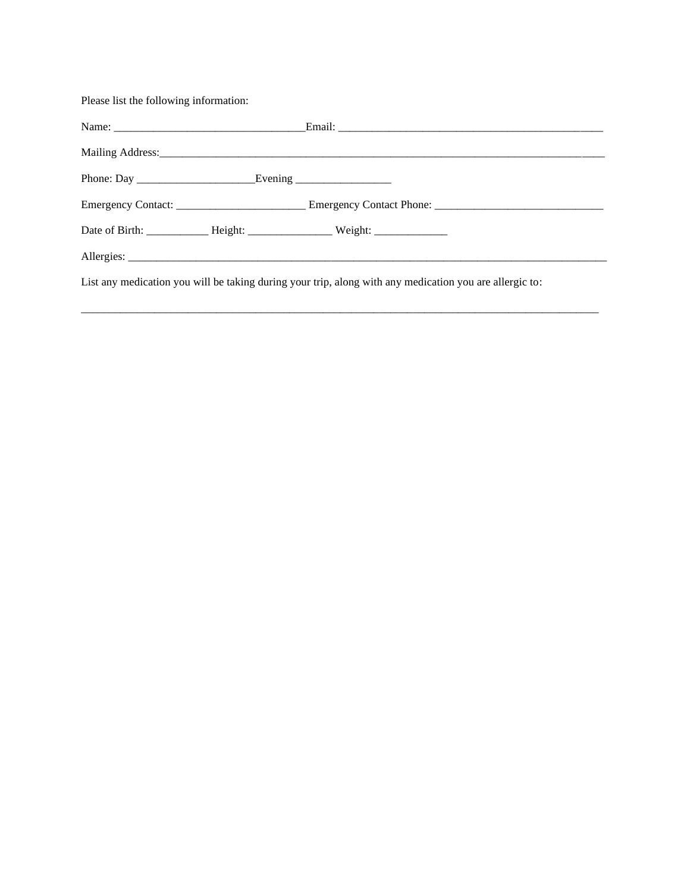Please list the following information:

| Date of Birth: ________________ Height: ________________________ Weight: ___________________________    |  |
|---------------------------------------------------------------------------------------------------------|--|
|                                                                                                         |  |
| List any medication you will be taking during your trip, along with any medication you are allergic to: |  |

 $\overline{a}$  , and the state of the state of the state of the state of the state of the state of the state of the state of the state of the state of the state of the state of the state of the state of the state of the state o